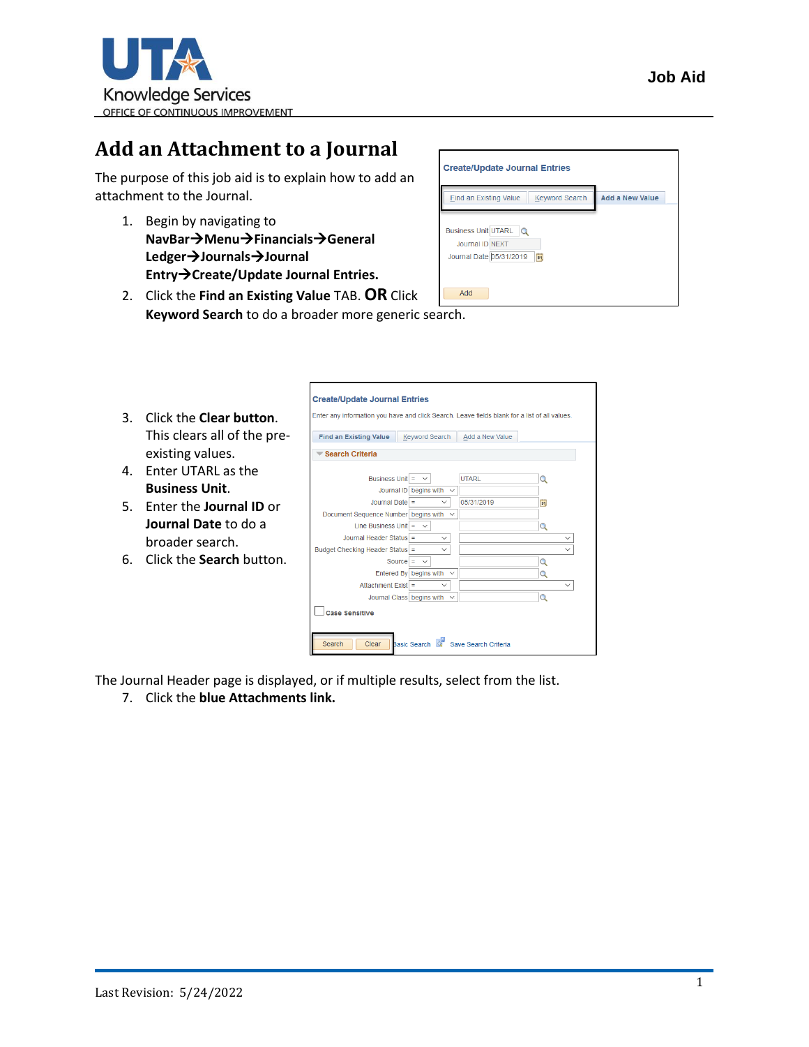

## **Add an Attachment to a Journal**

The purpose of this job aid is to explain how to add an attachment to the Journal.

- 1. Begin by navigating to **NavBar**→**Menu**→**Financials**→**General Ledger**→**Journals**→**Journal Entry**→**Create/Update Journal Entries.**
- **Create/Update Journal Entries Find an Existing Value Keyword Search** Add a New Value Business Unit UTARL Q Journal ID NEXT Journal Date 05/31/2019 Add
- 2. Click the **Find an Existing Value** TAB. **OR** Click **Keyword Search** to do a broader more generic search.

|    |                                 | <b>Create/Update Journal Entries</b>                                                          |                                  |                      |              |  |  |  |  |
|----|---------------------------------|-----------------------------------------------------------------------------------------------|----------------------------------|----------------------|--------------|--|--|--|--|
| 3. | Click the <b>Clear button</b> . | Enter any information you have and click Search. Leave fields blank for a list of all values. |                                  |                      |              |  |  |  |  |
|    | This clears all of the pre-     | <b>Find an Existing Value</b>                                                                 | <b>Keyword Search</b>            | Add a New Value      |              |  |  |  |  |
|    | existing values.                | Search Criteria                                                                               |                                  |                      |              |  |  |  |  |
| 4. | Enter UTARL as the              | Business Unit $=$                                                                             | $\checkmark$                     | <b>UTARL</b>         |              |  |  |  |  |
|    | <b>Business Unit.</b>           |                                                                                               | Journal ID begins with $\sim$    |                      |              |  |  |  |  |
| 5. | Enter the <b>Journal ID</b> or  | Journal Date =                                                                                | $\checkmark$                     | 05/31/2019           | Ħ            |  |  |  |  |
|    | Journal Date to do a            | Document Sequence Number begins with $\sim$<br>Line Business Unit = $\sim$                    |                                  |                      | Q            |  |  |  |  |
|    | broader search.                 | Journal Header Status =                                                                       | $\checkmark$                     |                      | $\checkmark$ |  |  |  |  |
| 6. | Click the <b>Search</b> button. | Budget Checking Header Status =                                                               | $\checkmark$<br>Source = $\sim$  |                      | $\checkmark$ |  |  |  |  |
|    |                                 |                                                                                               | Entered By begins with $\sim$    |                      |              |  |  |  |  |
|    |                                 | Attachment Exist                                                                              | $\checkmark$                     |                      | $\checkmark$ |  |  |  |  |
|    |                                 |                                                                                               | Journal Class begins with $\sim$ |                      | $\circ$      |  |  |  |  |
|    |                                 | <b>Case Sensitive</b>                                                                         |                                  |                      |              |  |  |  |  |
|    |                                 | Search<br>Clear                                                                               | Basic Search                     | Save Search Criteria |              |  |  |  |  |

The Journal Header page is displayed, or if multiple results, select from the list.

7. Click the **blue Attachments link.**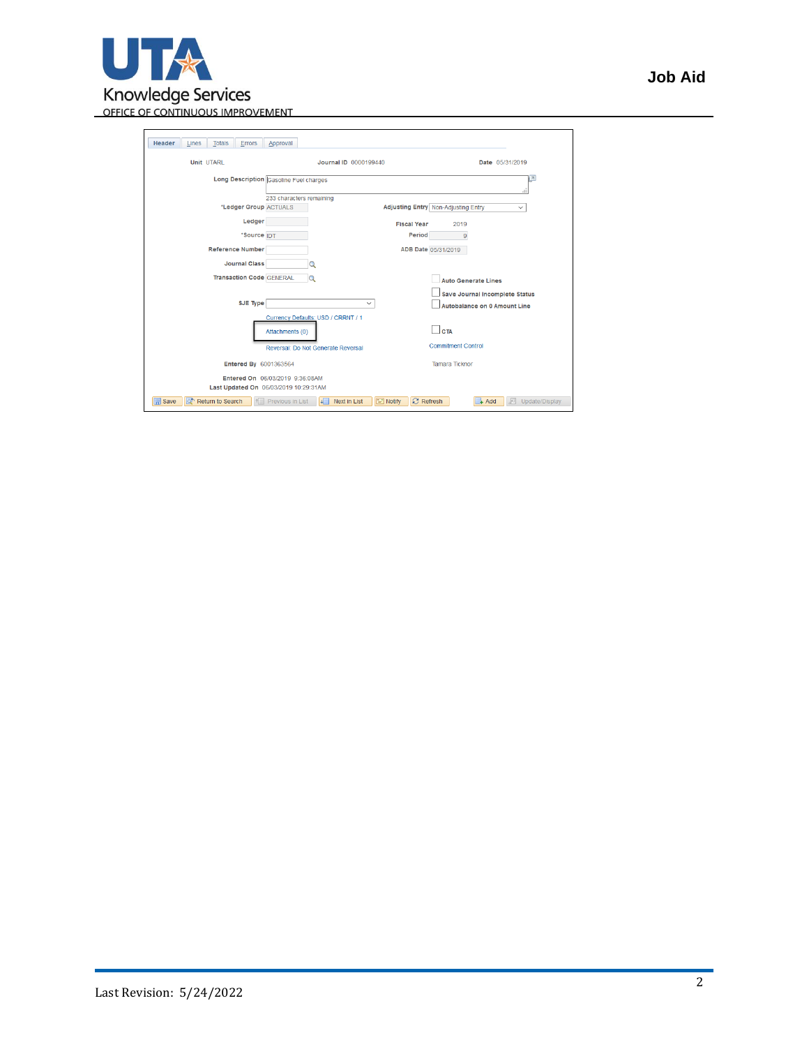

| Job Aid |
|---------|
|---------|

| Header<br><b>Totals</b><br>Errors<br>Lines | Approval                                                                     |                                                                |
|--------------------------------------------|------------------------------------------------------------------------------|----------------------------------------------------------------|
| <b>Unit UTARL</b>                          | Journal ID 0000199440                                                        | Date 05/31/2019                                                |
|                                            | Long Description Gasoline Fuel charges                                       | łд<br>ä.                                                       |
| *Ledger Group ACTUALS                      | 233 characters remaining                                                     | Adjusting Entry Non-Adjusting Entry<br>$\checkmark$            |
| Ledger                                     | <b>Fiscal Year</b>                                                           | 2019                                                           |
| *Source IDT                                | Period                                                                       | $\overline{9}$                                                 |
| <b>Reference Number</b>                    |                                                                              | ADB Date 05/31/2019                                            |
| <b>Journal Class</b>                       |                                                                              |                                                                |
| <b>Transaction Code GENERAL</b>            |                                                                              | <b>Auto Generate Lines</b>                                     |
| SJE Type                                   | $\checkmark$                                                                 | Save Journal Incomplete Status<br>Autobalance on 0 Amount Line |
|                                            | Currency Defaults: USD / CRRNT / 1<br>Attachments (0)                        | <b>CTA</b><br><b>Commitment Control</b>                        |
| Entered By 6001363564                      | Reversal: Do Not Generate Reversal                                           | <b>Tamara Ticknor</b>                                          |
|                                            | Entered On 06/03/2019 9:36:08AM<br>Last Updated On 06/03/2019 10:29:31AM     |                                                                |
| <b>圖</b> Save<br>ಹ್<br>Return to Search    | $\equiv$ Notify<br>Next in List<br><b>B</b> Refresh<br>Previous in List<br>ᆧ | $+$ Add<br>犀<br>Update/Display                                 |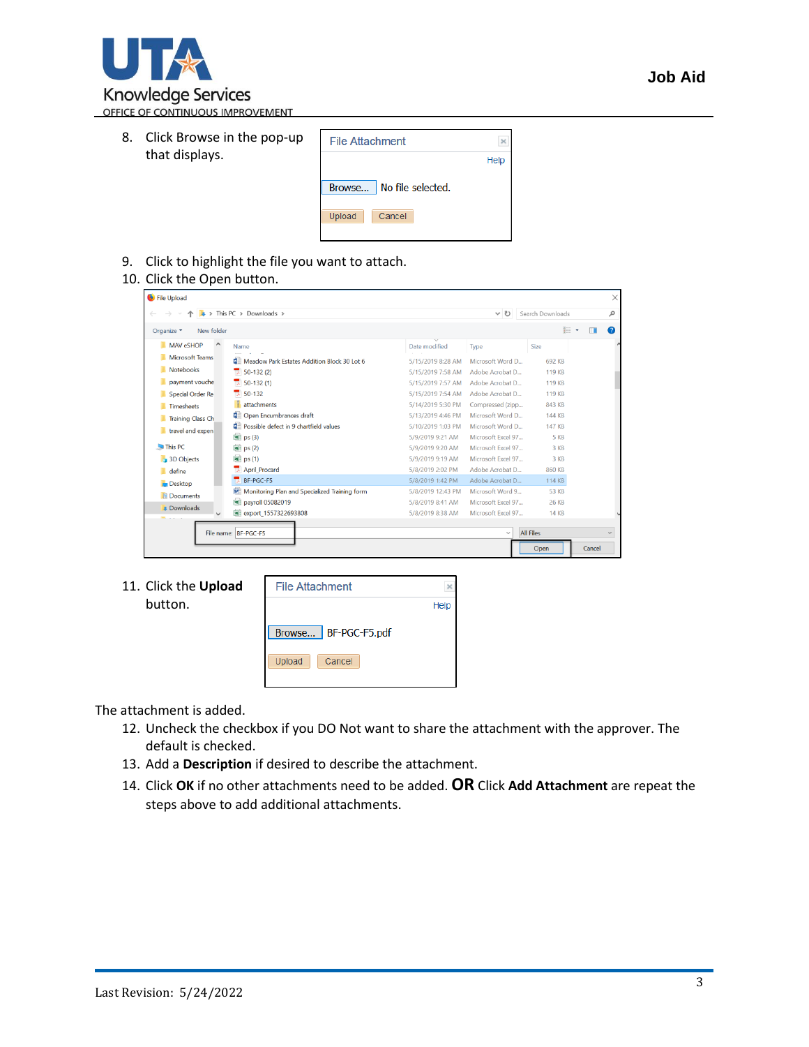

8. Click Browse in the pop-up that displays.

| <b>File Attachment</b>      |      |
|-----------------------------|------|
|                             | Help |
| No file selected.<br>Browse |      |
| Upload<br>Cancel            |      |
|                             |      |

- 9. Click to highlight the file you want to attach.
- 10. Click the Open button.

| File Upload              |                                               |                   |                    |                  | $\times$       |
|--------------------------|-----------------------------------------------|-------------------|--------------------|------------------|----------------|
|                          | $\bullet$ > This PC > Downloads >             |                   | $\vee$ 0           | Search Downloads | م              |
| New folder<br>Organize * |                                               |                   |                    | E .              | $\bullet$<br>m |
| MAV eSHOP<br>Λ           | Name                                          | Date modified     | Type               | Size             |                |
| Microsoft Teams          | Meadow Park Estates Addition Block 30 Lot 6   | 5/15/2019 8:28 AM | Microsoft Word D   | 692 KB           |                |
| Notebooks                | $\overline{2}$ 50-132 (2)                     | 5/15/2019 7:58 AM | Adobe Acrobat D    | 119 KB           |                |
| payment vouche           | $\frac{1}{2}$ 50-132 (1)                      | 5/15/2019 7:57 AM | Adobe Acrobat D    | <b>119 KB</b>    |                |
| <b>Special Order Re</b>  | $7.50 - 132$                                  | 5/15/2019 7:54 AM | Adobe Acrobat D    | <b>119 KB</b>    |                |
| <b>Timesheets</b>        | attachments                                   | 5/14/2019 5:30 PM | Compressed (zipp   | 843 KB           |                |
| <b>Training Class Ch</b> | Open Encumbrances draft                       | 5/13/2019 4:46 PM | Microsoft Word D   | <b>144 KB</b>    |                |
| travel and expen         | Possible defect in 9 chartfield values        | 5/10/2019 1:03 PM | Microsoft Word D   | <b>147 KB</b>    |                |
|                          | $\boxed{\equiv}$ ps (3)                       | 5/9/2019 9:21 AM  | Microsoft Excel 97 | 5 KB             |                |
| This PC                  | $\boxed{\equiv}$ ps (2)                       | 5/9/2019 9:20 AM  | Microsoft Excel 97 | 3 KB             |                |
| 3D Objects               | 国 ps (1)                                      | 5/9/2019 9:19 AM  | Microsoft Excel 97 | 3 KB             |                |
| define                   | <b>April Procard</b>                          | 5/8/2019 2:02 PM  | Adobe Acrobat D    | <b>860 KB</b>    |                |
| <b>Desktop</b>           | BF-PGC-F5                                     | 5/8/2019 1:42 PM  | Adobe Acrobat D    | 114 KB           |                |
| <b>Documents</b>         | Monitoring Plan and Specialized Training form | 5/8/2019 12:43 PM | Microsoft Word 9   | 53 KB            |                |
| <b>Downloads</b>         | <b>M</b> payroll 05082019                     | 5/8/2019 8:41 AM  | Microsoft Excel 97 | 26 KB            |                |
| $\checkmark$             | 图 export 1557322693808                        | 5/8/2019 8:38 AM  | Microsoft Excel 97 | <b>14 KB</b>     |                |
|                          | File name: BF-PGC-F5                          |                   | $\checkmark$       | <b>All Files</b> | $\checkmark$   |
|                          |                                               | Open              | Cancel             |                  |                |

11. Click the **Upload** button.

| <b>File Attachment</b>  |      |
|-------------------------|------|
|                         | Help |
| BF-PGC-F5.pdf<br>Browse |      |
| Upload<br>Cancel        |      |

The attachment is added.

- 12. Uncheck the checkbox if you DO Not want to share the attachment with the approver. The default is checked.
- 13. Add a **Description** if desired to describe the attachment.
- 14. Click **OK** if no other attachments need to be added. **OR** Click **Add Attachment** are repeat the steps above to add additional attachments.